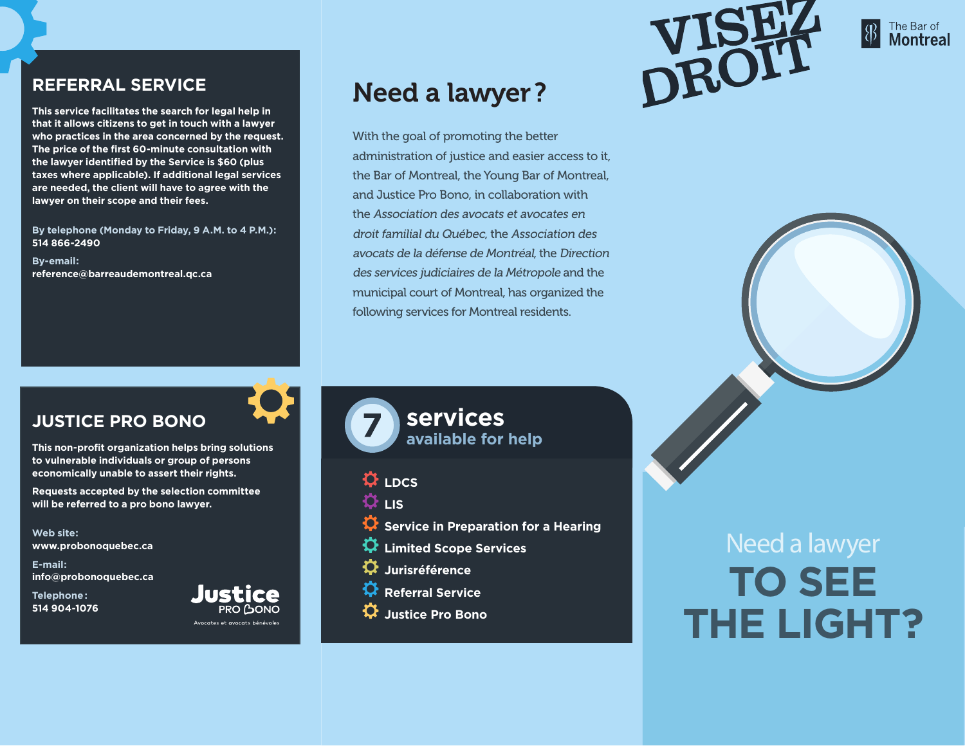#### **REFERRAL SERVICE**

**This service facilitates the search for legal help in that it allows citizens to get in touch with a lawyer who practices in the area concerned by the request. The price of the first 60-minute consultation with the lawyer identified by the Service is \$60 (plus taxes where applicable). If additional legal services are needed, the client will have to agree with the lawyer on their scope and their fees.**

**By telephone (Monday to Friday, 9 A.M. to 4 P.M.): 514 866-2490**

**By-email: reference@barreaudemontreal.qc.ca**

# Need a lawyer?

With the goal of promoting the better administration of justice and easier access to it, the Bar of Montreal, the Young Bar of Montreal, and Justice Pro Bono, in collaboration with the Association des avocats et avocates en droit familial du Québec, the Association des avocats de la défense de Montréal, the Direction des services judiciaires de la Métropole and the municipal court of Montreal, has organized the following services for Montreal residents.





## **JUSTICE PRO BONO**

**This non-profit organization helps bring solutions to vulnerable individuals or group of persons economically unable to assert their rights.** 

**Requests accepted by the selection committee will be referred to a pro bono lawyer.**

**Web site: www.probonoquebec.ca**

**E-mail: info@probonoquebec.ca**

**Telephone: 514 904-1076**





**services available for help**

**LDCS**

**LIS**

- **Service in Preparation for a Hearing**
- **Limited Scope Services**
- **D**urisréférence
- **Referral Service**
- **Justice Pro Bono**

# Need a lawyer **TO SEE THE LIGHT?**